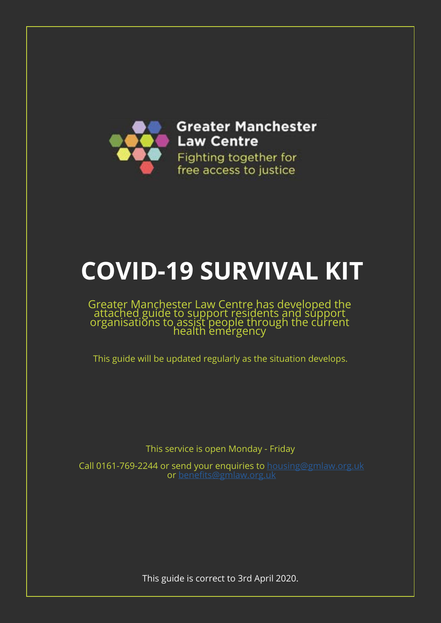

# **COVID-19 SURVIVAL KIT**

#### Greater Manchester Law Centre has developed the attached guide to support residents and support organisations to assist people through the current health emergency

This guide will be updated regularly as the situation develops.

This service is open Monday - Friday

Call 0161-769-2244 or send your enquiries to [housing@gmlaw.org.uk](http://housing@gmlaw.org.uk) or [benefits@gmlaw.org.uk](http://benefits@gmlaw.org.uk)

This guide is correct to 3rd April 2020.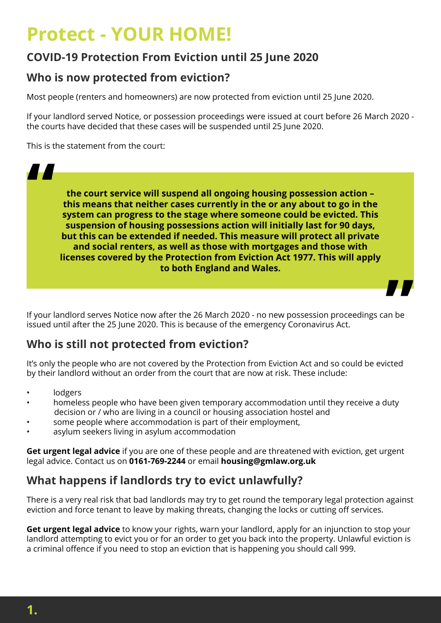## **Protect - YOUR HOME!**

## **COVID-19 Protection From Eviction until 25 June 2020**

#### **Who is now protected from eviction?**

Most people (renters and homeowners) are now protected from eviction until 25 June 2020.

If your landlord served Notice, or possession proceedings were issued at court before 26 March 2020 the courts have decided that these cases will be suspended until 25 June 2020.

This is the statement from the court:

**"**

**the court service will suspend all ongoing housing possession action – this means that neither cases currently in the or any about to go in the system can progress to the stage where someone could be evicted. This suspension of housing possessions action will initially last for 90 days, but this can be extended if needed. This measure will protect all private and social renters, as well as those with mortgages and those with licenses covered by the Protection from Eviction Act 1977. This will apply to both England and Wales.**



If your landlord serves Notice now after the 26 March 2020 - no new possession proceedings can be issued until after the 25 June 2020. This is because of the emergency Coronavirus Act.

## **Who is still not protected from eviction?**

It's only the people who are not covered by the Protection from Eviction Act and so could be evicted by their landlord without an order from the court that are now at risk. These include:

- lodgers
- homeless people who have been given temporary accommodation until they receive a duty decision or / who are living in a council or housing association hostel and
- some people where accommodation is part of their employment,
- asylum seekers living in asylum accommodation

**Get urgent legal advice** if you are one of these people and are threatened with eviction, get urgent legal advice. Contact us on **0161-769-2244** or email **housing@gmlaw.org.uk**

## **What happens if landlords try to evict unlawfully?**

There is a very real risk that bad landlords may try to get round the temporary legal protection against eviction and force tenant to leave by making threats, changing the locks or cutting off services.

**Get urgent legal advice** to know your rights, warn your landlord, apply for an injunction to stop your landlord attempting to evict you or for an order to get you back into the property. Unlawful eviction is a criminal offence if you need to stop an eviction that is happening you should call 999.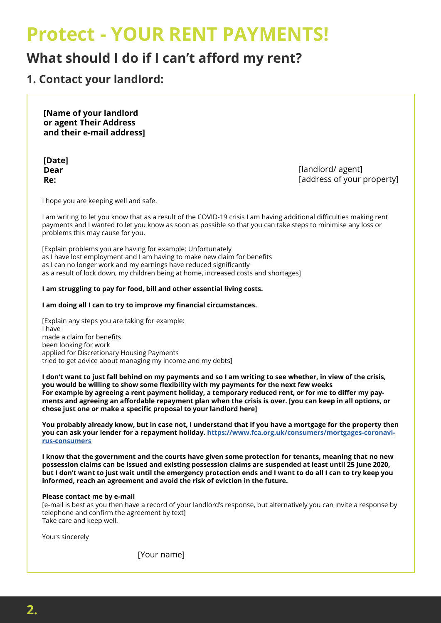## **Protect - YOUR RENT PAYMENTS!**

## **What should I do if I can't afford my rent?**

**1. Contact your landlord:**

**[Name of your landlord or agent Their Address and their e-mail address]**

**[Date] Dear Re:**

[landlord/ agent] [address of your property]

I hope you are keeping well and safe.

I am writing to let you know that as a result of the COVID-19 crisis I am having additional difficulties making rent payments and I wanted to let you know as soon as possible so that you can take steps to minimise any loss or problems this may cause for you.

[Explain problems you are having for example: Unfortunately as I have lost employment and I am having to make new claim for benefits as I can no longer work and my earnings have reduced significantly as a result of lock down, my children being at home, increased costs and shortages]

#### **I am struggling to pay for food, bill and other essential living costs.**

#### **I am doing all I can to try to improve my financial circumstances.**

[Explain any steps you are taking for example: I have made a claim for benefits been looking for work applied for Discretionary Housing Payments tried to get advice about managing my income and my debts]

**I don't want to just fall behind on my payments and so I am writing to see whether, in view of the crisis, you would be willing to show some flexibility with my payments for the next few weeks For example by agreeing a rent payment holiday, a temporary reduced rent, or for me to differ my payments and agreeing an affordable repayment plan when the crisis is over. [you can keep in all options, or chose just one or make a specific proposal to your landlord here]** 

**You probably already know, but in case not, I understand that if you have a mortgage for the property then you can ask your lender for a repayment holiday. [https://www.fca.org.uk/consumers/mortgages-coronavi](https://www.fca.org.uk/consumers/mortgages-coronavirus-consumers )[rus-consumers](https://www.fca.org.uk/consumers/mortgages-coronavirus-consumers )**

**I know that the government and the courts have given some protection for tenants, meaning that no new possession claims can be issued and existing possession claims are suspended at least until 25 June 2020, but I don't want to just wait until the emergency protection ends and I want to do all I can to try keep you informed, reach an agreement and avoid the risk of eviction in the future.**

#### **Please contact me by e-mail**

[e-mail is best as you then have a record of your landlord's response, but alternatively you can invite a response by telephone and confirm the agreement by text] Take care and keep well.

Yours sincerely

[Your name]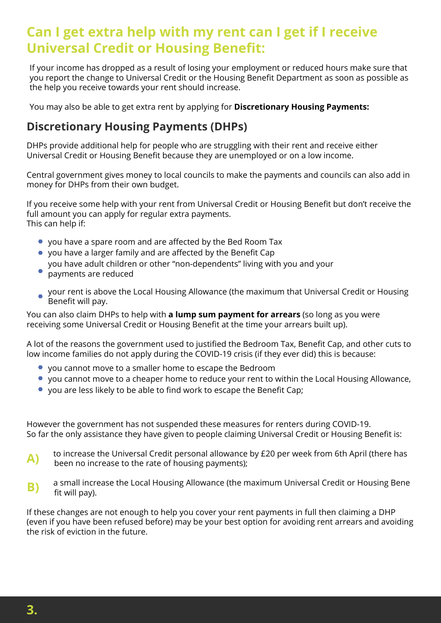## **Can I get extra help with my rent can I get if I receive Universal Credit or Housing Benefit:**

If your income has dropped as a result of losing your employment or reduced hours make sure that you report the change to Universal Credit or the Housing Benefit Department as soon as possible as the help you receive towards your rent should increase.

You may also be able to get extra rent by applying for **Discretionary Housing Payments:**

#### **Discretionary Housing Payments (DHPs)**

DHPs provide additional help for people who are struggling with their rent and receive either Universal Credit or Housing Benefit because they are unemployed or on a low income.

Central government gives money to local councils to make the payments and councils can also add in money for DHPs from their own budget.

If you receive some help with your rent from Universal Credit or Housing Benefit but don't receive the full amount you can apply for regular extra payments. This can help if:

- you have a spare room and are affected by the Bed Room Tax
- you have a larger family and are affected by the Benefit Cap
- you have adult children or other "non-dependents" living with you and your
- payments are reduced
- your rent is above the Local Housing Allowance (the maximum that Universal Credit or Housing Benefit will pay.

You can also claim DHPs to help with **a lump sum payment for arrears** (so long as you were receiving some Universal Credit or Housing Benefit at the time your arrears built up).

A lot of the reasons the government used to justified the Bedroom Tax, Benefit Cap, and other cuts to low income families do not apply during the COVID-19 crisis (if they ever did) this is because:

- you cannot move to a smaller home to escape the Bedroom
- you cannot move to a cheaper home to reduce your rent to within the Local Housing Allowance,
- you are less likely to be able to find work to escape the Benefit Cap;

However the government has not suspended these measures for renters during COVID-19. So far the only assistance they have given to people claiming Universal Credit or Housing Benefit is:

- to increase the Universal Credit personal allowance by £20 per week from 6th April (there has been no increase to the rate of housing payments); **A)**
- a small increase the Local Housing Allowance (the maximum Universal Credit or Housing Bene fit will pay). **B)**

If these changes are not enough to help you cover your rent payments in full then claiming a DHP (even if you have been refused before) may be your best option for avoiding rent arrears and avoiding the risk of eviction in the future.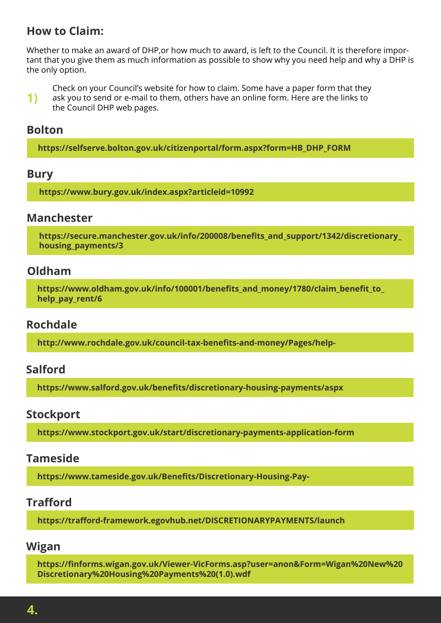#### **How to Claim:**

Whether to make an award of DHP,or how much to award, is left to the Council. It is therefore important that you give them as much information as possible to show why you need help and why a DHP is the only option.

**1)** Check on your Council's website for how to claim. Some have a paper form that they ask you to send or e-mail to them, others have an online form. Here are the links to the Council DHP web pages.

#### **Bolton**

**[https://selfserve.bolton.gov.uk/citizenportal/form.aspx?form=HB\\_DHP\\_FORM](https://selfserve.bolton.gov.uk/citizenportal/form.aspx?form=HB_DHP_FORM)**

#### **Bury**

**<https://www.bury.gov.uk/index.aspx?articleid=10992>**

#### **Manchester**

**[https://secure.manchester.gov.uk/info/200008/benefits\\_and\\_support/1342/discretionary\\_](https://secure.manchester.gov.uk/info/200008/benefits_and_support/1342/discretionary_housing_payments/3) housing\_payments/3**

#### **Oldham**

**[https://www.oldham.gov.uk/info/100001/benefits\\_and\\_money/1780/claim\\_benefit\\_to\\_](https://www.oldham.gov.uk/info/100001/benefits_and_money/1780/claim_benefit_to_help_pay_rent/6) help\_pay\_rent/6**

#### **Rochdale**

**[http://www.rochdale.gov.uk/council-tax-benefits-and-money/Pages/help-](http://www.rochdale.gov.uk/council-tax-benefits-and-money/Pages/help-with-housing-costs.aspx)**

#### **Salford**

**[https://www.salford.gov.uk/benefits/discretionary-housing-payments/aspx](https://www.salford.gov.uk/benefits/discretionary-housing-payments/)**

#### **Stockport**

**[https://www.stockport.gov.uk/start/discretionary-payments-application-form](https://www.salford.gov.uk/benefits/discretionary-housing-payments/)**

#### **Tameside**

**[https://www.tameside.gov.uk/Benefits/Discretionary-Housing-Pay](https://www.tameside.gov.uk/Benefits/Discretionary-Housing-Payments)-**

#### **Trafford**

**<https://trafford-framework.egovhub.net/DISCRETIONARYPAYMENTS/launch>**

#### **Wigan**

**[https://finforms.wigan.gov.uk/Viewer-VicForms.asp?user=anon&Form=Wigan%20New%20](https://finforms.wigan.gov.uk/Viewer-VicForms.asp?user=anon&Form=Wigan%20New%20Discretionary%20Housing%20Payments%20(1.0).wdf) Discretionary%20Housing%20Payments%20(1.0).wdf**

**4.**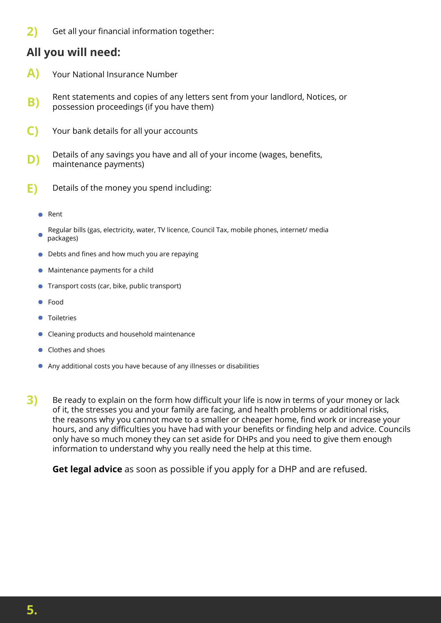**2)** Get all your financial information together:

#### **All you will need:**

- **A)** Your National Insurance Number
- **B)** Rent statements and copies of any letters sent from your landlord, Notices, or possession proceedings (if you have them)
- **C)** Your bank details for all your accounts
- **D)** Details of any savings you have and all of your income (wages, benefits, maintenance payments)
- **E)** Details of the money you spend including:
	- Rent
	- Regular bills (gas, electricity, water, TV licence, Council Tax, mobile phones, internet/ media packages)
	- Debts and fines and how much you are repaying
	- Maintenance payments for a child
	- Transport costs (car, bike, public transport)
	- Food
	- Toiletries
	- Cleaning products and household maintenance
	- Clothes and shoes
	- Any additional costs you have because of any illnesses or disabilities
- **3)** Be ready to explain on the form how difficult your life is now in terms of your money or lack of it, the stresses you and your family are facing, and health problems or additional risks, the reasons why you cannot move to a smaller or cheaper home, find work or increase your hours, and any difficulties you have had with your benefits or finding help and advice. Councils only have so much money they can set aside for DHPs and you need to give them enough information to understand why you really need the help at this time.

**Get legal advice** as soon as possible if you apply for a DHP and are refused.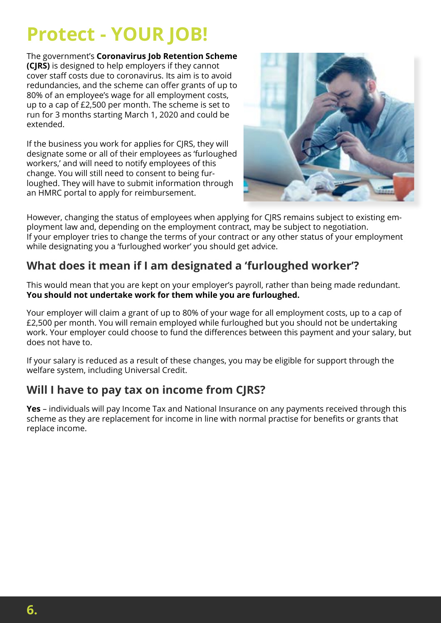## **Protect - YOUR JOB!**

The government's **Coronavirus Job Retention Scheme (CJRS)** is designed to help employers if they cannot cover staff costs due to coronavirus. Its aim is to avoid redundancies, and the scheme can offer grants of up to 80% of an employee's wage for all employment costs, up to a cap of £2,500 per month. The scheme is set to run for 3 months starting March 1, 2020 and could be extended.

If the business you work for applies for CJRS, they will designate some or all of their employees as 'furloughed workers,' and will need to notify employees of this change. You will still need to consent to being furloughed. They will have to submit information through an HMRC portal to apply for reimbursement.



However, changing the status of employees when applying for CIRS remains subject to existing employment law and, depending on the employment contract, may be subject to negotiation. If your employer tries to change the terms of your contract or any other status of your employment while designating you a 'furloughed worker' you should get advice.

## **What does it mean if I am designated a 'furloughed worker'?**

This would mean that you are kept on your employer's payroll, rather than being made redundant. **You should not undertake work for them while you are furloughed.**

Your employer will claim a grant of up to 80% of your wage for all employment costs, up to a cap of £2,500 per month. You will remain employed while furloughed but you should not be undertaking work. Your employer could choose to fund the differences between this payment and your salary, but does not have to.

If your salary is reduced as a result of these changes, you may be eligible for support through the welfare system, [including Universal Credit.](https://www.uvwunion.org.uk/claiming-benefits)

## **Will I have to pay tax on income from CJRS?**

**Yes** – individuals will pay Income Tax and National Insurance on any payments received through this scheme as they are replacement for income in line with normal practise for benefits or grants that replace income.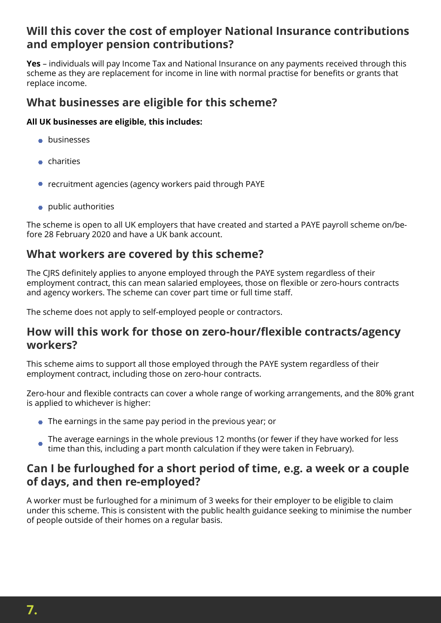#### **Will this cover the cost of employer National Insurance contributions and employer pension contributions?**

**Yes** – individuals will pay Income Tax and National Insurance on any payments received through this scheme as they are replacement for income in line with normal practise for benefits or grants that replace income.

#### **What businesses are eligible for this scheme?**

#### **All UK businesses are eligible, this includes:**

- **•** businesses
- charities
- recruitment agencies (agency workers paid through PAYE
- public authorities

The scheme is open to all UK employers that have created and started a PAYE payroll scheme on/before 28 February 2020 and have a UK bank account.

#### **What workers are covered by this scheme?**

The CJRS definitely applies to anyone employed through the PAYE system regardless of their employment contract, this can mean salaried employees, those on flexible or zero-hours contracts and agency workers. The scheme can cover part time or full time staff.

The scheme does not apply to self-employed people or contractors.

#### **How will this work for those on zero-hour/flexible contracts/agency workers?**

This scheme aims to support all those employed through the PAYE system regardless of their employment contract, including those on zero-hour contracts.

Zero-hour and flexible contracts can cover a whole range of working arrangements, and the 80% grant is applied to whichever is higher:

- The earnings in the same pay period in the previous year; or
- The average earnings in the whole previous 12 months (or fewer if they have worked for less time than this, including a part month calculation if they were taken in February).

#### **Can I be furloughed for a short period of time, e.g. a week or a couple of days, and then re-employed?**

A worker must be furloughed for a minimum of 3 weeks for their employer to be eligible to claim under this scheme. This is consistent with the public health guidance seeking to minimise the number of people outside of their homes on a regular basis.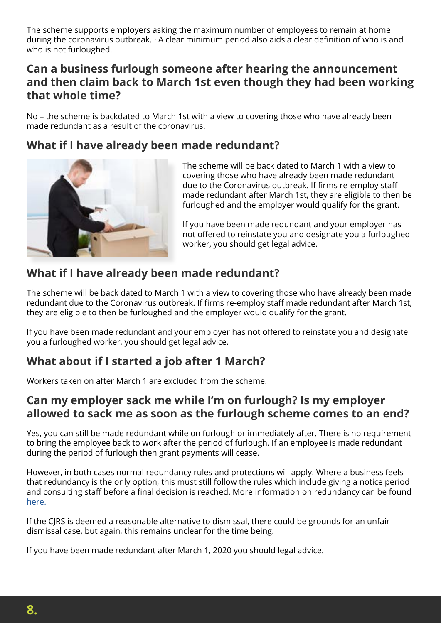The scheme supports employers asking the maximum number of employees to remain at home during the coronavirus outbreak. · A clear minimum period also aids a clear definition of who is and who is not furloughed.

#### **Can a business furlough someone after hearing the announcement and then claim back to March 1st even though they had been working that whole time?**

No – the scheme is backdated to March 1st with a view to covering those who have already been made redundant as a result of the coronavirus.

#### **What if I have already been made redundant?**



The scheme will be back dated to March 1 with a view to covering those who have already been made redundant due to the Coronavirus outbreak. If firms re-employ staff made redundant after March 1st, they are eligible to then be furloughed and the employer would qualify for the grant.

If you have been made redundant and your employer has not offered to reinstate you and designate you a furloughed worker, you should get legal advice.

#### **What if I have already been made redundant?**

The scheme will be back dated to March 1 with a view to covering those who have already been made redundant due to the Coronavirus outbreak. If firms re-employ staff made redundant after March 1st, they are eligible to then be furloughed and the employer would qualify for the grant.

If you have been made redundant and your employer has not offered to reinstate you and designate you a furloughed worker, you should get legal advice.

## **What about if I started a job after 1 March?**

Workers taken on after March 1 are excluded from the scheme.

#### **Can my employer sack me while I'm on furlough? Is my employer allowed to sack me as soon as the furlough scheme comes to an end?**

Yes, you can still be made redundant while on furlough or immediately after. There is no requirement to bring the employee back to work after the period of furlough. If an employee is made redundant during the period of furlough then grant payments will cease.

However, in both cases normal redundancy rules and protections will apply. Where a business feels that redundancy is the only option, this must still follow the rules which include giving a notice period and consulting staff before a final decision is reached. More information on redundancy can be found [here.](https://www.gov.uk/redundancy-your-rights) 

If the CJRS is deemed a reasonable alternative to dismissal, there could be grounds for an unfair dismissal case, but again, this remains unclear for the time being.

If you have been made redundant after March 1, 2020 you should legal advice.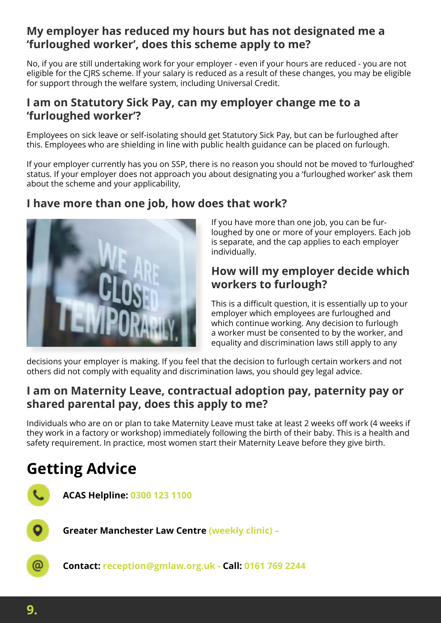#### **My employer has reduced my hours but has not designated me a 'furloughed worker', does this scheme apply to me?**

No, if you are still undertaking work for your employer - even if your hours are reduced - you are not eligible for the CJRS scheme. If your salary is reduced as a result of these changes, you may be eligible for support through the welfare system, including Universal Credit.

#### **I am on Statutory Sick Pay, can my employer change me to a 'furloughed worker'?**

Employees on sick leave or self-isolating should get Statutory Sick Pay, but can be furloughed after this. Employees who are shielding in line with public health guidance can be placed on furlough.

If your employer currently has you on SSP, there is no reason you should not be moved to 'furloughed' status. If your employer does not approach you about designating you a 'furloughed worker' ask them about the scheme and your applicability,

#### **I have more than one job, how does that work?**



If you have more than one job, you can be furloughed by one or more of your employers. Each job is separate, and the cap applies to each employer individually.

#### **How will my employer decide which workers to furlough?**

This is a difficult question, it is essentially up to your employer which employees are furloughed and which continue working. Any decision to furlough a worker must be consented to by the worker, and equality and discrimination laws still apply to any

decisions your employer is making. If you feel that the decision to furlough certain workers and not others did not comply with equality and discrimination laws, you should gey legal advice.

#### **I am on Maternity Leave, contractual adoption pay, paternity pay or shared parental pay, does this apply to me?**

Individuals who are on or plan to take Maternity Leave must take at least 2 weeks off work (4 weeks if they work in a factory or workshop) immediately following the birth of their baby. This is a health and safety requirement. In practice, most women start their Maternity Leave before they give birth.

## **Getting Advice**



**ACAS Helpline: 0300 123 1100**

**Greater Manchester Law Centre (weekly clinic) –** 

**Contact: reception@gmlaw.org.uk - Call: 0161 769 2244**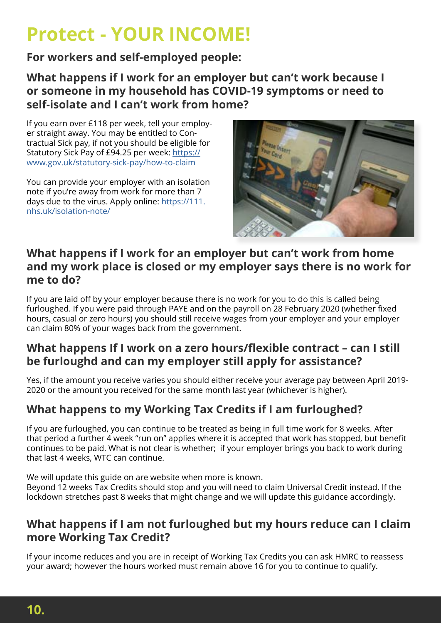## **Protect - YOUR INCOME!**

#### **For workers and self-employed people:**

**What happens if I work for an employer but can't work because I or someone in my household has COVID-19 symptoms or need to self-isolate and I can't work from home?**

If you earn over £118 per week, tell your employer straight away. You may be entitled to Contractual Sick pay, if not you should be eligible for Statutory Sick Pay of £94.25 per week: [https://](https://www.gov.uk/statutory-sick-pay/how-to-claim 
) [www.gov.uk/statutory-sick-pay/how-to-claim](https://www.gov.uk/statutory-sick-pay/how-to-claim 
) 

You can provide your employer with an isolation note if you're away from work for more than 7 days due to the virus. Apply online: [https://111.](https://www.gov.uk/statutory-sick-pay/how-to-claim 
) [nhs.uk/isolation-note/](https://www.gov.uk/statutory-sick-pay/how-to-claim 
)



#### **What happens if I work for an employer but can't work from home and my work place is closed or my employer says there is no work for me to do?**

If you are laid off by your employer because there is no work for you to do this is called being furloughed. If you were paid through PAYE and on the payroll on 28 February 2020 (whether fixed hours, casual or zero hours) you should still receive wages from your employer and your employer can claim 80% of your wages back from the government.

#### **What happens If I work on a zero hours/flexible contract – can I still be furloughd and can my employer still apply for assistance?**

Yes, if the amount you receive varies you should either receive your average pay between April 2019- 2020 or the amount you received for the same month last year (whichever is higher).

## **What happens to my Working Tax Credits if I am furloughed?**

If you are furloughed, you can continue to be treated as being in full time work for 8 weeks. After that period a further 4 week "run on" applies where it is accepted that work has stopped, but benefit continues to be paid. What is not clear is whether; if your employer brings you back to work during that last 4 weeks, WTC can continue.

We will update this guide on are website when more is known. Beyond 12 weeks Tax Credits should stop and you will need to claim Universal Credit instead. If the lockdown stretches past 8 weeks that might change and we will update this guidance accordingly.

#### **What happens if I am not furloughed but my hours reduce can I claim more Working Tax Credit?**

If your income reduces and you are in receipt of Working Tax Credits you can ask HMRC to reassess your award; however the hours worked must remain above 16 for you to continue to qualify.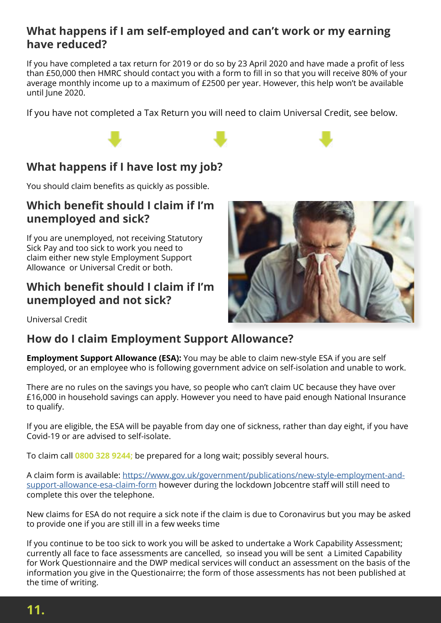#### **What happens if I am self-employed and can't work or my earning have reduced?**

If you have completed a tax return for 2019 or do so by 23 April 2020 and have made a profit of less than £50,000 then HMRC should contact you with a form to fill in so that you will receive 80% of your average monthly income up to a maximum of £2500 per year. However, this help won't be available until June 2020.

If you have not completed a Tax Return you will need to claim Universal Credit, see below.

## **What happens if I have lost my job?**

You should claim benefits as quickly as possible.

#### **Which benefit should I claim if I'm unemployed and sick?**

If you are unemployed, not receiving Statutory Sick Pay and too sick to work you need to claim either new style Employment Support Allowance or Universal Credit or both.

#### **Which benefit should I claim if I'm unemployed and not sick?**



Universal Credit

#### **How do I claim Employment Support Allowance?**

**Employment Support Allowance (ESA):** You may be able to claim new-style ESA if you are self employed, or an employee who is following government advice on self-isolation and unable to work.

There are no rules on the savings you have, so people who can't claim UC because they have over £16,000 in household savings can apply. However you need to have paid enough National Insurance to qualify.

If you are eligible, the ESA will be payable from day one of sickness, rather than day eight, if you have Covid-19 or are advised to self-isolate.

To claim call **0800 328 9244;** be prepared for a long wait; possibly several hours.

A claim form is available: [https://www.gov.uk/government/publications/new-style-employment-and](https://www.gov.uk/government/publications/new-style-employment-and-support-allowance-esa-claim-form)[support-allowance-esa-claim-form](https://www.gov.uk/government/publications/new-style-employment-and-support-allowance-esa-claim-form) however during the lockdown Jobcentre staff will still need to complete this over the telephone.

New claims for ESA do not require a sick note if the claim is due to Coronavirus but you may be asked to provide one if you are still ill in a few weeks time

If you continue to be too sick to work you will be asked to undertake a Work Capability Assessment; currently all face to face assessments are cancelled, so insead you will be sent a Limited Capability for Work Questionnaire and the DWP medical services will conduct an assessment on the basis of the information you give in the Questionairre; the form of those assessments has not been published at the time of writing.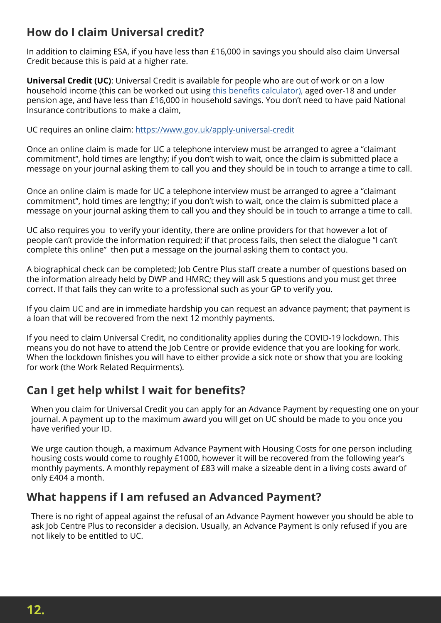#### **How do I claim Universal credit?**

In addition to claiming ESA, if you have less than £16,000 in savings you should also claim Unversal Credit because this is paid at a higher rate.

**Universal Credit (UC)**: Universal Credit is available for people who are out of work or on a low household income (this can be worked out using [this benefits calculator\),](https://benefits-calculator.turn2us.org.uk/AboutYou) aged over-18 and under pension age, and have less than £16,000 in household savings. You don't need to have paid National Insurance contributions to make a claim,

UC requires an online claim: [https://www.gov.uk/apply-universal-credit](https://www.gov.uk/apply-universal-credit )

Once an online claim is made for UC a telephone interview must be arranged to agree a "claimant commitment", hold times are lengthy; if you don't wish to wait, once the claim is submitted place a message on your journal asking them to call you and they should be in touch to arrange a time to call.

Once an online claim is made for UC a telephone interview must be arranged to agree a "claimant commitment", hold times are lengthy; if you don't wish to wait, once the claim is submitted place a message on your journal asking them to call you and they should be in touch to arrange a time to call.

UC also requires you to verify your identity, there are online providers for that however a lot of people can't provide the information required; if that process fails, then select the dialogue "I can't complete this online" then put a message on the journal asking them to contact you.

A biographical check can be completed; Job Centre Plus staff create a number of questions based on the information already held by DWP and HMRC; they will ask 5 questions and you must get three correct. If that fails they can write to a professional such as your GP to verify you.

If you claim UC and are in immediate hardship you can request an advance payment; that payment is a loan that will be recovered from the next 12 monthly payments.

If you need to claim Universal Credit, no conditionality applies during the COVID-19 lockdown. This means you do not have to attend the Job Centre or provide evidence that you are looking for work. When the lockdown finishes you will have to either provide a sick note or show that you are looking for work (the Work Related Requirments).

#### **Can I get help whilst I wait for benefits?**

When you claim for Universal Credit you can apply for an Advance Payment by requesting one on your journal. A payment up to the maximum award you will get on UC should be made to you once you have verified your ID.

We urge caution though, a maximum Advance Payment with Housing Costs for one person including housing costs would come to roughly £1000, however it will be recovered from the following year's monthly payments. A monthly repayment of £83 will make a sizeable dent in a living costs award of only £404 a month.

#### **What happens if I am refused an Advanced Payment?**

There is no right of appeal against the refusal of an Advance Payment however you should be able to ask Job Centre Plus to reconsider a decision. Usually, an Advance Payment is only refused if you are not likely to be entitled to UC.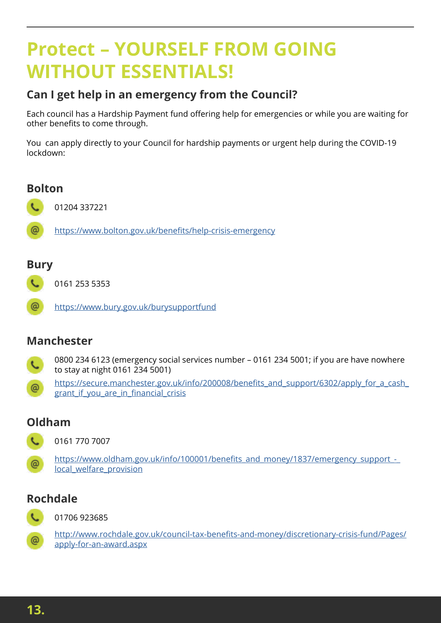## **Protect – YOURSELF FROM GOING WITHOUT ESSENTIALS!**

#### **Can I get help in an emergency from the Council?**

Each council has a Hardship Payment fund offering help for emergencies or while you are waiting for other benefits to come through.

You can apply directly to your Council for hardship payments or urgent help during the COVID-19 lockdown:

#### **Bolton**

01204 337221

@ <https://www.bolton.gov.uk/benefits/help-crisis-emergency>

#### **Bury**

0161 253 5353

ര <https://www.bury.gov.uk/burysupportfund>

#### **Manchester**

- 0800 234 6123 (emergency social services number 0161 234 5001; if you are have nowhere x. to stay at night 0161 234 5001)
- [https://secure.manchester.gov.uk/info/200008/benefits\\_and\\_support/6302/apply\\_for\\_a\\_cash\\_](https://secure.manchester.gov.uk/info/200008/benefits_and_support/6302/apply_for_a_cash_grant_if_you) @ grant if you are in financial crisis

#### **Oldham**



0161 770 7007

https://www.oldham.gov.uk/info/100001/benefits\_and\_money/1837/emergency\_support\_-@ local welfare provision

#### **Rochdale**



 $\omega$ 

01706 923685

[http://www.rochdale.gov.uk/council-tax-benefits-and-money/discretionary-crisis-fund/Pages/](http://www.rochdale.gov.uk/council-tax-benefits-and-money/discretionary-crisis-fund/Pages/apply-for-an-award.aspx) [apply-for-an-award.aspx](http://www.rochdale.gov.uk/council-tax-benefits-and-money/discretionary-crisis-fund/Pages/apply-for-an-award.aspx)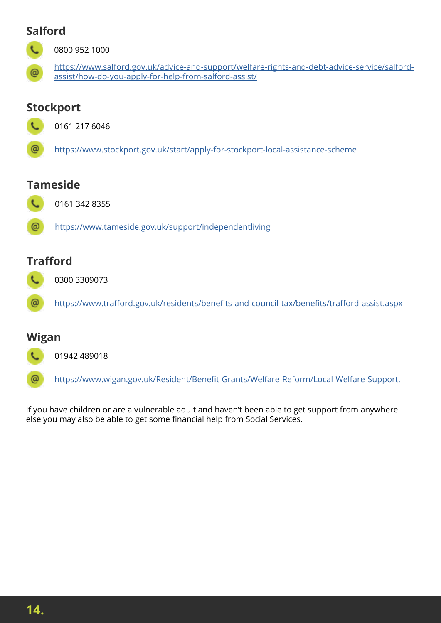#### **Salford**



0800 952 1000

[https://www.salford.gov.uk/advice-and-support/welfare-rights-and-debt-advice-service/salford](https://www.salford.gov.uk/advice-and-support/welfare-rights-and-debt-advice-service/salford-assist/how-do-you-apply-for-help-from-salford-assist/)[assist/how-do-you-apply-for-help-from-salford-assist/](https://www.salford.gov.uk/advice-and-support/welfare-rights-and-debt-advice-service/salford-assist/how-do-you-apply-for-help-from-salford-assist/)

## **Stockport**



0161 217 6046

@ <https://www.stockport.gov.uk/start/apply-for-stockport-local-assistance-scheme>

#### **Tameside**



@ https://www.tameside.gov.uk/support/independentliving

## **Trafford**



<https://www.trafford.gov.uk/residents/benefits-and-council-tax/benefits/trafford-assist.aspx>

## **Wigan**

@

01942 489018

@ [https://www.wigan.gov.uk/Resident/Benefit-Grants/Welfare-Reform/Local-Welfare-Support.](https://www.wigan.gov.uk/Resident/Benefit-Grants/Welfare-Reform/Local-Welfare-Support.aspx)

If you have children or are a vulnerable adult and haven't been able to get support from anywhere else you may also be able to get some financial help from Social Services.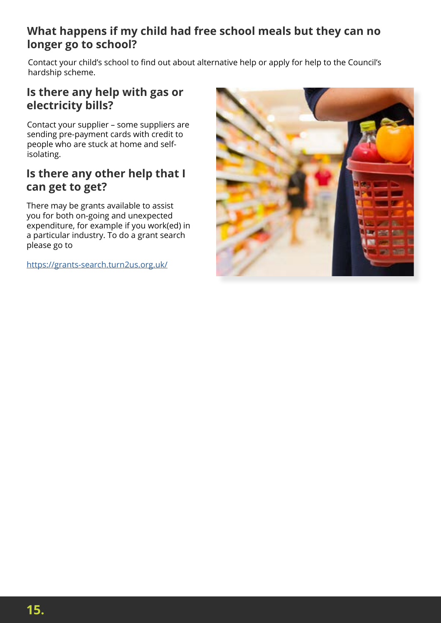#### **What happens if my child had free school meals but they can no longer go to school?**

Contact your child's school to find out about alternative help or apply for help to the Council's hardship scheme.

#### **Is there any help with gas or electricity bills?**

Contact your supplier – some suppliers are sending pre-payment cards with credit to people who are stuck at home and selfisolating.

#### **Is there any other help that I can get to get?**

There may be grants available to assist you for both on-going and unexpected expenditure, for example if you work(ed) in a particular industry. To do a grant search please go to

<https://grants-search.turn2us.org.uk/>